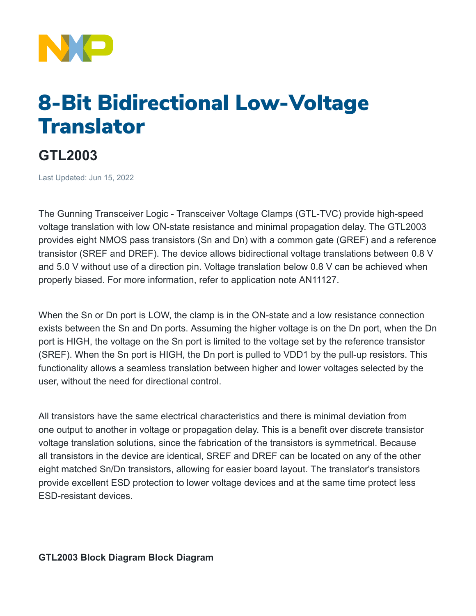

## 8-Bit Bidirectional Low-Voltage **Translator**

## **GTL2003**

Last Updated: Jun 15, 2022

The Gunning Transceiver Logic - Transceiver Voltage Clamps (GTL-TVC) provide high-speed voltage translation with low ON-state resistance and minimal propagation delay. The GTL2003 provides eight NMOS pass transistors (Sn and Dn) with a common gate (GREF) and a reference transistor (SREF and DREF). The device allows bidirectional voltage translations between 0.8 V and 5.0 V without use of a direction pin. Voltage translation below 0.8 V can be achieved when properly biased. For more information, refer to application note AN11127.

When the Sn or Dn port is LOW, the clamp is in the ON-state and a low resistance connection exists between the Sn and Dn ports. Assuming the higher voltage is on the Dn port, when the Dn port is HIGH, the voltage on the Sn port is limited to the voltage set by the reference transistor (SREF). When the Sn port is HIGH, the Dn port is pulled to VDD1 by the pull-up resistors. This functionality allows a seamless translation between higher and lower voltages selected by the user, without the need for directional control.

All transistors have the same electrical characteristics and there is minimal deviation from one output to another in voltage or propagation delay. This is a benefit over discrete transistor voltage translation solutions, since the fabrication of the transistors is symmetrical. Because all transistors in the device are identical, SREF and DREF can be located on any of the other eight matched Sn/Dn transistors, allowing for easier board layout. The translator's transistors provide excellent ESD protection to lower voltage devices and at the same time protect less ESD-resistant devices.

**GTL2003 Block Diagram Block Diagram**